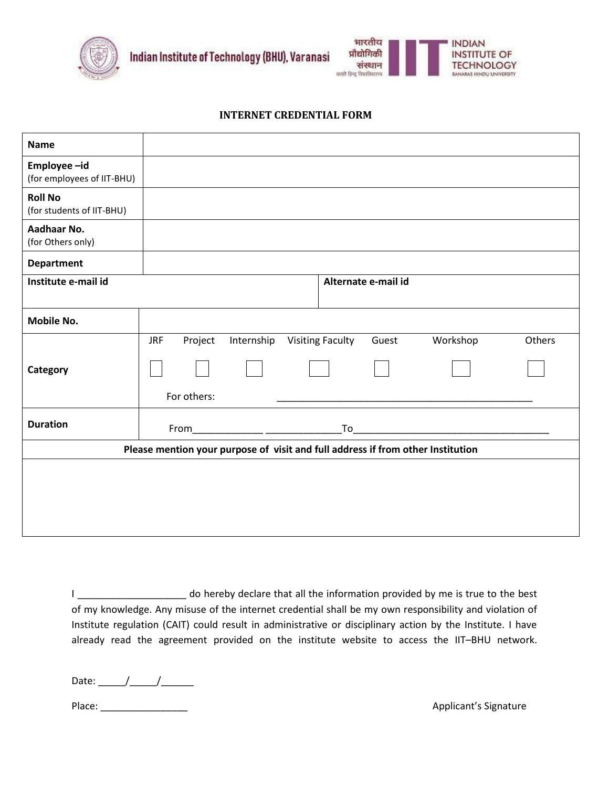



## **INTERNET CREDENTIAL FORM**

| <b>Name</b>                                                                     |                       |            |                         |       |          |        |  |  |  |
|---------------------------------------------------------------------------------|-----------------------|------------|-------------------------|-------|----------|--------|--|--|--|
| Employee-id<br>(for employees of IIT-BHU)                                       |                       |            |                         |       |          |        |  |  |  |
| <b>Roll No</b><br>(for students of IIT-BHU)                                     |                       |            |                         |       |          |        |  |  |  |
| Aadhaar No.<br>(for Others only)                                                |                       |            |                         |       |          |        |  |  |  |
| <b>Department</b>                                                               |                       |            |                         |       |          |        |  |  |  |
| Institute e-mail id                                                             | Alternate e-mail id   |            |                         |       |          |        |  |  |  |
|                                                                                 |                       |            |                         |       |          |        |  |  |  |
| <b>Mobile No.</b>                                                               |                       |            |                         |       |          |        |  |  |  |
|                                                                                 | <b>JRF</b><br>Project | Internship | <b>Visiting Faculty</b> | Guest | Workshop | Others |  |  |  |
| Category                                                                        |                       |            |                         |       |          |        |  |  |  |
|                                                                                 | For others:           |            |                         |       |          |        |  |  |  |
| <b>Duration</b>                                                                 |                       |            |                         |       |          |        |  |  |  |
| Please mention your purpose of visit and full address if from other Institution |                       |            |                         |       |          |        |  |  |  |
|                                                                                 |                       |            |                         |       |          |        |  |  |  |
|                                                                                 |                       |            |                         |       |          |        |  |  |  |
|                                                                                 |                       |            |                         |       |          |        |  |  |  |
|                                                                                 |                       |            |                         |       |          |        |  |  |  |

I \_\_\_\_\_\_\_\_\_\_\_\_\_\_\_\_\_\_\_\_\_\_\_\_ do hereby declare that all the information provided by me is true to the best of my knowledge. Any misuse of the internet credential shall be my own responsibility and violation of Institute regulation (CAIT) could result in administrative or disciplinary action by the Institute. I have already read the agreement provided on the institute website to access the IIT–BHU network.

Date:  $\frac{1}{2}$   $\frac{1}{2}$   $\frac{1}{2}$   $\frac{1}{2}$   $\frac{1}{2}$   $\frac{1}{2}$   $\frac{1}{2}$   $\frac{1}{2}$   $\frac{1}{2}$   $\frac{1}{2}$   $\frac{1}{2}$   $\frac{1}{2}$   $\frac{1}{2}$   $\frac{1}{2}$   $\frac{1}{2}$   $\frac{1}{2}$   $\frac{1}{2}$   $\frac{1}{2}$   $\frac{1}{2}$   $\frac{1}{2}$   $\frac{1}{2}$   $\frac{1$ 

Place: \_\_\_\_\_\_\_\_\_\_\_\_\_\_\_\_ Applicant's Signature